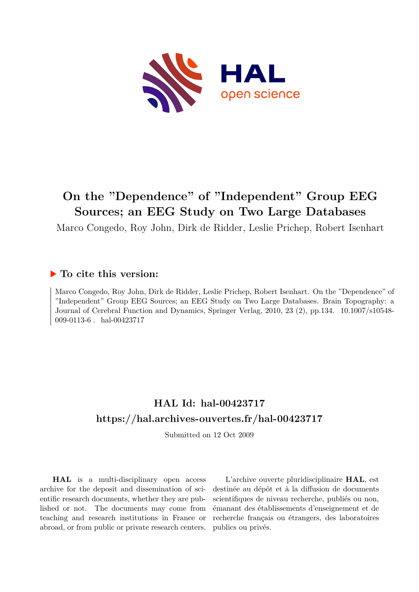

# **On the "Dependence" of "Independent" Group EEG Sources; an EEG Study on Two Large Databases**

Marco Congedo, Roy John, Dirk de Ridder, Leslie Prichep, Robert Isenhart

# **To cite this version:**

Marco Congedo, Roy John, Dirk de Ridder, Leslie Prichep, Robert Isenhart. On the "Dependence" of "Independent" Group EEG Sources; an EEG Study on Two Large Databases. Brain Topography: a Journal of Cerebral Function and Dynamics, Springer Verlag, 2010, 23 (2), pp.134. 10.1007/s10548-009-0113-6 hal-00423717

# **HAL Id: hal-00423717 <https://hal.archives-ouvertes.fr/hal-00423717>**

Submitted on 12 Oct 2009

**HAL** is a multi-disciplinary open access archive for the deposit and dissemination of scientific research documents, whether they are published or not. The documents may come from teaching and research institutions in France or abroad, or from public or private research centers.

L'archive ouverte pluridisciplinaire **HAL**, est destinée au dépôt et à la diffusion de documents scientifiques de niveau recherche, publiés ou non, émanant des établissements d'enseignement et de recherche français ou étrangers, des laboratoires publics ou privés.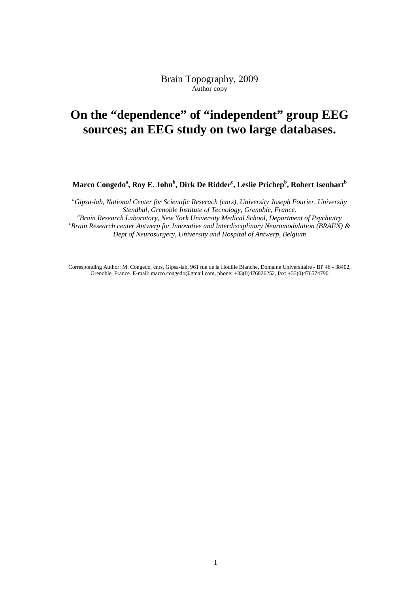Brain Topography, 2009 Author copy

# **On the "dependence" of "independent" group EEG sources; an EEG study on two large databases.**

**Marco Congedo<sup>a</sup> , Roy E. John<sup>b</sup> , Dirk De Ridder<sup>c</sup> , Leslie Prichep<sup>b</sup> , Robert Isenhart<sup>b</sup>**

*<sup>a</sup>Gipsa-lab, National Center for Scientific Reserach (cnrs), University Joseph Fourier, University Stendhal, Grenoble Institute of Tecnology, Grenoble, France. <sup>b</sup>Brain Research Laboratory, New York University Medical School, Department of Psychiatry <sup>c</sup>Brain Research center Antwerp for Innovative and Interdisciplinary Neuromodulation (BRAI²N) & Dept of Neurosurgery, University and Hospital of Antwerp, Belgium* 

Corresponding Author: M. Congedo, cnrs, Gipsa-lab, 961 rue de la Houille Blanche, Domaine Universitaire - BP 46 - 38402, Grenoble, France. E-mail: marco.congedo@gmail.com, phone: +33(0)476826252, fax: +33(0)476574790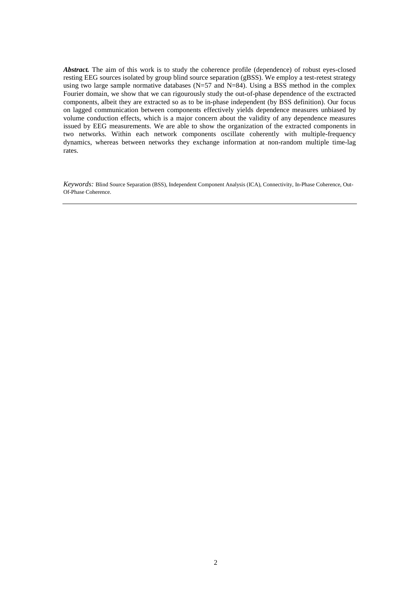Abstract. The aim of this work is to study the coherence profile (dependence) of robust eyes-closed resting EEG sources isolated by group blind source separation (gBSS). We employ a test-retest strategy using two large sample normative databases ( $N=57$  and  $N=84$ ). Using a BSS method in the complex Fourier domain, we show that we can rigourously study the out-of-phase dependence of the exctracted components, albeit they are extracted so as to be in-phase independent (by BSS definition). Our focus on lagged communication between components effectively yields dependence measures unbiased by volume conduction effects, which is a major concern about the validity of any dependence measures issued by EEG measurements. We are able to show the organization of the extracted components in two networks. Within each network components oscillate coherently with multiple-frequency dynamics, whereas between networks they exchange information at non-random multiple time-lag rates.

*Keywords:* Blind Source Separation (BSS), Independent Component Analysis (ICA), Connectivity, In-Phase Coherence, Out-Of-Phase Coherence.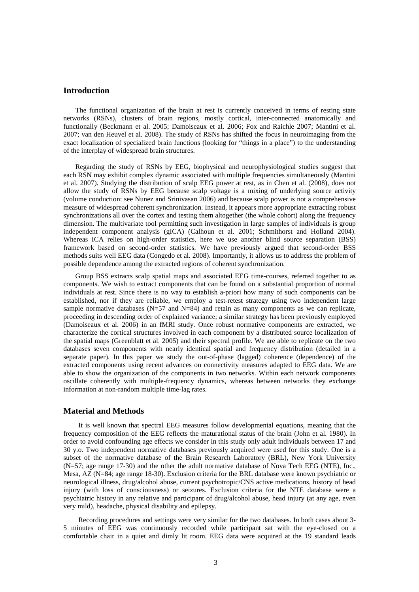### **Introduction**

The functional organization of the brain at rest is currently conceived in terms of resting state networks (RSNs), clusters of brain regions, mostly cortical, inter-connected anatomically and functionally (Beckmann et al. 2005; Damoiseaux et al. 2006; Fox and Raichle 2007; Mantini et al. 2007; van den Heuvel et al. 2008). The study of RSNs has shifted the focus in neuroimaging from the exact localization of specialized brain functions (looking for "things in a place") to the understanding of the interplay of widespread brain structures.

Regarding the study of RSNs by EEG, biophysical and neurophysiological studies suggest that each RSN may exhibit complex dynamic associated with multiple frequencies simultaneously (Mantini et al. 2007). Studying the distribution of scalp EEG power at rest, as in Chen et al. (2008), does not allow the study of RSNs by EEG because scalp voltage is a mixing of underlying source activity (volume conduction: see Nunez and Srinivasan 2006) and because scalp power is not a comprehensive measure of widespread coherent synchronization. Instead, it appears more appropriate extracting robust synchronizations all over the cortex and testing them altogether (the whole cohort) along the frequency dimension. The multivariate tool permitting such investigation in large samples of individuals is group independent component analysis (gICA) (Calhoun et al. 2001; Schmithorst and Holland 2004). Whereas ICA relies on high-order statistics, here we use another blind source separation (BSS) framework based on second-order statistics. We have previously argued that second-order BSS methods suits well EEG data (Congedo et al. 2008). Importantly, it allows us to address the problem of possible dependence among the extracted regions of coherent synchronization.

Group BSS extracts scalp spatial maps and associated EEG time-courses, referred together to as components. We wish to extract components that can be found on a substantial proportion of normal individuals at rest. Since there is no way to establish a-priori how many of such components can be established, nor if they are reliable, we employ a test-retest strategy using two independent large sample normative databases  $(N=57 \text{ and } N=84)$  and retain as many components as we can replicate, proceeding in descending order of explained variance; a similar strategy has been previously employed (Damoiseaux et al. 2006) in an fMRI study. Once robust normative components are extracted, we characterize the cortical structures involved in each component by a distributed source localization of the spatial maps (Greenblatt et al. 2005) and their spectral profile. We are able to replicate on the two databases seven components with nearly identical spatial and frequency distribution (detailed in a separate paper). In this paper we study the out-of-phase (lagged) coherence (dependence) of the extracted components using recent advances on connectivity measures adapted to EEG data. We are able to show the organization of the components in two networks. Within each network components oscillate coherently with multiple-frequency dynamics, whereas between networks they exchange information at non-random multiple time-lag rates.

### **Material and Methods**

 It is well known that spectral EEG measures follow developmental equations, meaning that the frequency composition of the EEG reflects the maturational status of the brain (John et al. 1980). In order to avoid confounding age effects we consider in this study only adult individuals between 17 and 30 y.o. Two independent normative databases previously acquired were used for this study. One is a subset of the normative database of the Brain Research Laboratory (BRL), New York University (N=57; age range 17-30) and the other the adult normative database of Nova Tech EEG (NTE), Inc., Mesa, AZ (N=84; age range 18-30). Exclusion criteria for the BRL database were known psychiatric or neurological illness, drug/alcohol abuse, current psychotropic/CNS active medications, history of head injury (with loss of consciousness) or seizures. Exclusion criteria for the NTE database were a psychiatric history in any relative and participant of drug/alcohol abuse, head injury (at any age, even very mild), headache, physical disability and epilepsy.

 Recording procedures and settings were very similar for the two databases. In both cases about 3- 5 minutes of EEG was continuously recorded while participant sat with the eye-closed on a comfortable chair in a quiet and dimly lit room. EEG data were acquired at the 19 standard leads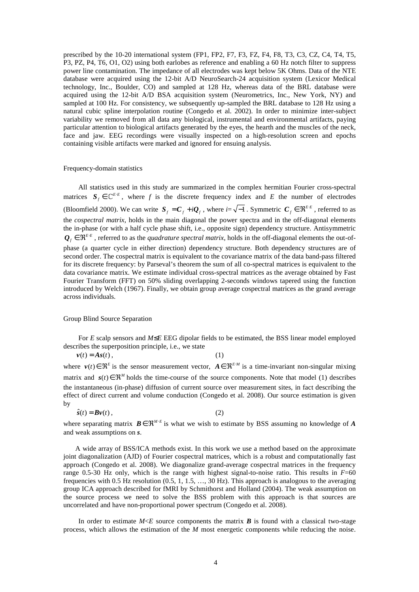prescribed by the 10-20 international system (FP1, FP2, F7, F3, FZ, F4, F8, T3, C3, CZ, C4, T4, T5, P3, PZ, P4, T6, O1, O2) using both earlobes as reference and enabling a 60 Hz notch filter to suppress power line contamination. The impedance of all electrodes was kept below 5K Ohms. Data of the NTE database were acquired using the 12-bit A/D NeuroSearch-24 acquisition system (Lexicor Medical technology, Inc., Boulder, CO) and sampled at 128 Hz, whereas data of the BRL database were acquired using the 12-bit A/D BSA acquisition system (Neurometrics, Inc., New York, NY) and sampled at 100 Hz. For consistency, we subsequently up-sampled the BRL database to 128 Hz using a natural cubic spline interpolation routine (Congedo et al. 2002). In order to minimize inter-subject variability we removed from all data any biological, instrumental and environmental artifacts, paying particular attention to biological artifacts generated by the eyes, the hearth and the muscles of the neck, face and jaw. EEG recordings were visually inspected on a high-resolution screen and epochs containing visible artifacts were marked and ignored for ensuing analysis.

#### Frequency-domain statistics

All statistics used in this study are summarized in the complex hermitian Fourier cross-spectral matrices  $S_f \in \mathbb{C}^{E \cdot E}$ , where *f* is the discrete frequency index and *E* the number of electrodes (Bloomfield 2000). We can write  $S_f = C_f + iQ_f$ , where  $i = \sqrt{-1}$ . Symmetric  $C_f \in \mathfrak{R}^{E \cdot E}$ , referred to as the *cospectral matrix*, holds in the main diagonal the power spectra and in the off-diagonal elements the in-phase (or with a half cycle phase shift, i.e., opposite sign) dependency structure. Antisymmetric  $Q_f \in \Re^{E \cdot E}$ , referred to as the *quadrature spectral matrix*, holds in the off-diagonal elements the out-ofphase (a quarter cycle in either direction) dependency structure. Both dependency structures are of second order. The cospectral matrix is equivalent to the covariance matrix of the data band-pass filtered for its discrete frequency: by Parseval's theorem the sum of all co-spectral matrices is equivalent to the data covariance matrix. We estimate individual cross-spectral matrices as the average obtained by Fast Fourier Transform (FFT) on 50% sliding overlapping 2-seconds windows tapered using the function introduced by Welch (1967). Finally, we obtain group average cospectral matrices as the grand average across individuals.

#### Group Blind Source Separation

For *E* scalp sensors and *M*≤*E* EEG dipolar fields to be estimated, the BSS linear model employed describes the superposition principle, i.e., we state

 $v(t) = As(t)$ , (1)

where  $v(t) \in \mathbb{R}^E$  is the sensor measurement vector,  $A \in \mathbb{R}^{E \cdot M}$  is a time-invariant non-singular mixing matrix and  $s(t) \in \mathbb{R}^M$  holds the time-course of the source components. Note that model (1) describes the instantaneous (in-phase) diffusion of current source over measurement sites, in fact describing the effect of direct current and volume conduction (Congedo et al. 2008). Our source estimation is given by

$$
\hat{s}(t) = \mathbf{B}\mathbf{v}(t) \,,\tag{2}
$$

where separating matrix  $B \in \mathbb{R}^{M \cdot E}$  is what we wish to estimate by BSS assuming no knowledge of *A* and weak assumptions on *s*.

A wide array of BSS/ICA methods exist. In this work we use a method based on the approximate joint diagonalization (AJD) of Fourier cospectral matrices, which is a robust and computationally fast approach (Congedo et al. 2008). We diagonalize grand-average cospectral matrices in the frequency range 0.5-30 Hz only, which is the range with highest signal-to-noise ratio. This results in *F*=60 frequencies with 0.5 Hz resolution (0.5, 1, 1.5, …, 30 Hz). This approach is analogous to the averaging group ICA approach described for fMRI by Schmithorst and Holland (2004). The weak assumption on the source process we need to solve the BSS problem with this approach is that sources are uncorrelated and have non-proportional power spectrum (Congedo et al. 2008).

In order to estimate  $M \le E$  source components the matrix *B* is found with a classical two-stage process, which allows the estimation of the *M* most energetic components while reducing the noise.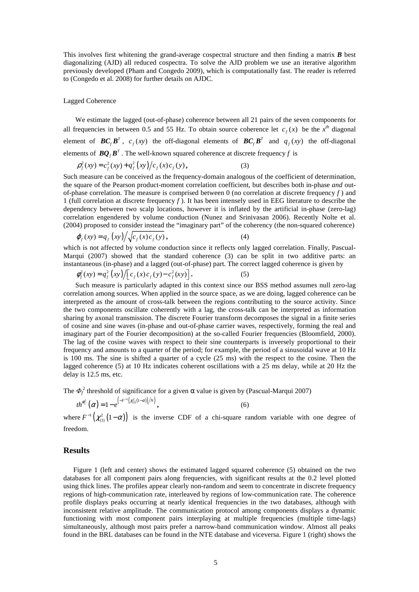This involves first whitening the grand-average cospectral structure and then finding a matrix *B* best diagonalizing (AJD) all reduced cospectra. To solve the AJD problem we use an iterative algorithm previously developed (Pham and Congedo 2009), which is computationally fast. The reader is referred to (Congedo et al. 2008) for further details on AJDC.

#### Lagged Coherence

We estimate the lagged (out-of-phase) coherence between all 21 pairs of the seven components for all frequencies in between 0.5 and 55 Hz. To obtain source coherence let  $c_f(x)$  be the  $x^{th}$  diagonal element of  $BC_fB^T$ ,  $c_f(xy)$  the off-diagonal elements of  $BC_fB^T$  and  $q_f(xy)$  the off-diagonal elements of  $BQ_fB^T$ . The well-known squared coherence at discrete frequency f is

$$
\rho_f^2(xy) = c_f^2(xy) + q_f^2(xy)/c_f(x)c_f(y),
$$
\n(3)

Such measure can be conceived as the frequency-domain analogous of the coefficient of determination, the square of the Pearson product-moment correlation coefficient, but describes both in-phase *and* outof-phase correlation. The measure is comprised between 0 (no correlation at discrete frequency  $f$ ) and 1 (full correlation at discrete frequency *f* ). It has been intensely used in EEG literature to describe the dependency between two scalp locations, however it is inflated by the artificial in-phase (zero-lag) correlation engendered by volume conduction (Nunez and Srinivasan 2006). Recently Nolte et al. (2004) proposed to consider instead the "imaginary part" of the coherency (the non-squared coherence)

$$
\varphi_f(xy) = q_f(xy) / \sqrt{c_f(x) c_f(y)}, \tag{4}
$$

which is not affected by volume conduction since it reflects only lagged correlation. Finally, Pascual-Marqui (2007) showed that the standard coherence (3) can be split in two additive parts: an instantaneous (in-phase) and a lagged (out-of-phase) part. The correct lagged coherence is given by

$$
\phi_f^2(xy) = q_f^2(xy) / \Big[ c_f(x) c_f(y) - c_f^2(xy) \Big].
$$
\n(5)

Such measure is particularly adapted in this context since our BSS method assumes null zero-lag correlation among sources. When applied in the source space, as we are doing, lagged coherence can be interpreted as the amount of cross-talk between the regions contributing to the source activity. Since the two components oscillate coherently with a lag, the cross-talk can be interpreted as information sharing by axonal transmission. The discrete Fourier transform decomposes the signal in a finite series of cosine and sine waves (in-phase and out-of-phase carrier waves, respectively, forming the real and imaginary part of the Fourier decomposition) at the so-called Fourier frequencies (Bloomfield, 2000). The lag of the cosine waves with respect to their sine counterparts is inversely proportional to their frequency and amounts to a quarter of the period; for example, the period of a sinusoidal wave at 10 Hz is 100 ms. The sine is shifted a quarter of a cycle (25 ms) with the respect to the cosine. Then the lagged coherence (5) at 10 Hz indicates coherent oscillations with a 25 ms delay, while at 20 Hz the delay is 12.5 ms, etc.

The  $\Phi_f^2$  threshold of significance for a given  $\alpha$  value is given by (Pascual-Marqui 2007)

$$
t h^{\phi_j^2}(\alpha) = 1 - e^{\left(-F^{-1}(z_{(1)}^2(1-\alpha))/N\right)}, \tag{6}
$$

where  $F^{-1}(\chi^2_{(1)}(1-\alpha))$  is the inverse CDF of a chi-square random variable with one degree of freedom.

### **Results**

Figure 1 (left and center) shows the estimated lagged squared coherence (5) obtained on the two databases for all component pairs along frequencies, with significant results at the 0.2 level plotted using thick lines. The profiles appear clearly non-random and seem to concentrate in discrete frequency regions of high-communication rate, interleaved by regions of low-communication rate. The coherence profile displays peaks occurring at nearly identical frequencies in the two databases, although with inconsistent relative amplitude. The communication protocol among components displays a dynamic functioning with most component pairs interplaying at multiple frequencies (multiple time-lags) simultaneously, although most pairs prefer a narrow-band communication window. Almost all peaks found in the BRL databases can be found in the NTE database and viceversa. Figure 1 (right) shows the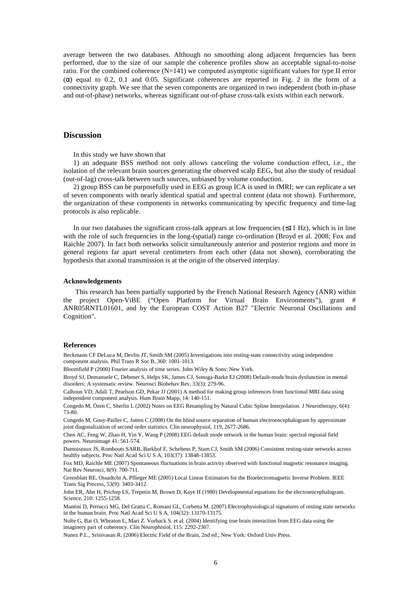average between the two databases. Although no smoothing along adjacent frequencies has been performed, due to the size of our sample the coherence profiles show an acceptable signal-to-noise ratio. For the combined coherence  $(N=141)$  we computed asymptotic significant values for type II error  $(\alpha)$  equal to 0.2, 0.1 and 0.05. Significant coherences are reported in Fig. 2 in the form of a connectivity graph. We see that the seven components are organized in two independent (both in-phase and out-of-phase) networks, whereas significant out-of-phase cross-talk exists within each network.

## **Discussion**

In this study we have shown that

1) an adequate BSS method not only allows canceling the volume conduction effect, i.e., the isolation of the relevant brain sources generating the observed scalp EEG, but also the study of residual (out-of-lag) cross-talk between such sources, unbiased by volume conduction.

2) group BSS can be purposefully used in EEG as group ICA is used in fMRI; we can replicate a set of seven components with nearly identical spatial and spectral content (data not shown). Furthermore, the organization of these components in networks communicating by specific frequency and time-lag protocols is also replicable.

In our two databases the significant cross-talk appears at low frequencies  $(\leq 11 \text{ Hz})$ , which is in line with the role of such frequencies in the long-(spatial) range co-ordination (Broyd et al. 2008; Fox and Raichle 2007). In fact both networks solicit simultaneously anterior and posterior regions and more in general regions far apart several centimeters from each other (data not shown), corroborating the hypothesis that axonal transmission is at the origin of the observed interplay.

#### **Acknowledgements**

This research has been partially supported by the French National Research Agency (ANR) within the project Open-ViBE ("Open Platform for Virtual Brain Environments"), grant # ANR05RNTL01601, and by the European COST Action B27 "Electric Neuronal Oscillations and Cognition".

#### **References**

Beckmann CF DeLuca M, Devlin JT, Smith SM (2005) Investigations into resting-state connectivity using independent component analysis. Phil Trans R Soc B, 360: 1001-1013.

Bloomfield P (2000) Fourier analysis of time series. John Wiley & Sons: New York.

Broyd SJ, Demanuele C, Debener S, Helps SK, James CJ, Sonuga-Barke EJ (2008) Default-mode brain dysfunction in mental disorders: A systematic review. Neurosci Biobehav Rev, 33(3): 279-96.

Calhoun VD, Adali T, Pearlson GD, Pekar JJ (2001) A method for making group inferences from functional MRI data using independent component analysis. Hum Brain Mapp, 14: 140-151.

Congedo M, Özen C, Sherlin L (2002) Notes on EEG Resampling by Natural Cubic Spline Interpolation. J Neurotherapy, 6(4): 73-80.

Congedo M, Gouy-Pailler C, Jutten C (2008) On the blind source separation of human electroencephalogram by approximate joint diagonalization of second order statistics. Clin neurophysiol, 119, 2677-2686.

Chen AC, Feng W, Zhao H, Yin Y, Wang P (2008) EEG default mode network in the human brain: spectral regional field powers. Neuroimage 41: 561-574.

Damoiseaux JS, Rombouts SARB, Barkhof F, Scheltens P, Stam CJ, Smith SM (2006) Consistent resting-state networks across healthy subjects. Proc Natl Acad Sci U S A, 103(37): 13848-13853.

Fox MD, Raichle ME (2007) Spontaneous fluctuations in brain activity observed with functional magnetic resonance imaging. Nat Rev Neurosci, 8(9): 700-711.

Greenblatt RE, Ossadtchi A, Pflieger ME (2005) Local Linear Estimators for the Bioelectromagnetic Inverse Problem. IEEE Trans Sig Process, 53(9): 3403-3412.

John ER, Ahn H, Prichep LS, Trepetin M, Brown D, Kaye H (1980) Developmental equations for the electroencephalogram. Science, 210: 1255-1258.

Mantini D, Perrucci MG, Del Gratta C, Romani GL, Corbetta M. (2007) Electrophysiological signatures of resting state networks in the human brain. Proc Natl Acad Sci U S A, 104(32): 13170-13175.

Nolte G, Bai O, Wheaton L, Mari Z. Vorback S. et al. (2004) Identifying true brain interaction from EEG data using the imaginery part of coherency. Clin Neurophisiol, 115: 2292-2307.

Nunez P.L., Srinivasan R. (2006) Electric Field of the Brain, 2nd ed., New York: Oxford Univ Press.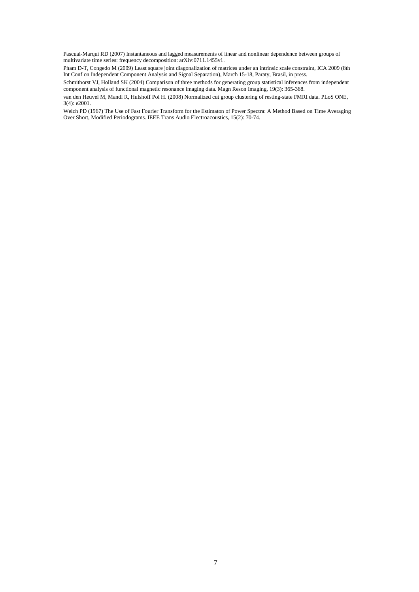Pascual-Marqui RD (2007) Instantaneous and lagged measurements of linear and nonlinear dependence between groups of multivariate time series: frequency decomposition: arXiv:0711.1455v1.

Pham D-T, Congedo M (2009) Least square joint diagonalization of matrices under an intrinsic scale constraint, ICA 2009 (8th Int Conf on Independent Component Analysis and Signal Separation), March 15-18, Paraty, Brasil, in press.

Schmithorst VJ, Holland SK (2004) Comparison of three methods for generating group statistical inferences from independent component analysis of functional magnetic resonance imaging data. Magn Reson Imaging, 19(3): 365-368.

van den Heuvel M, Mandl R, Hulshoff Pol H. (2008) Normalized cut group clustering of resting-state FMRI data. PLoS ONE, 3(4): e2001.

Welch PD (1967) The Use of Fast Fourier Transform for the Estimaton of Power Spectra: A Method Based on Time Averaging Over Short, Modified Periodograms. IEEE Trans Audio Electroacoustics, 15(2): 70-74.